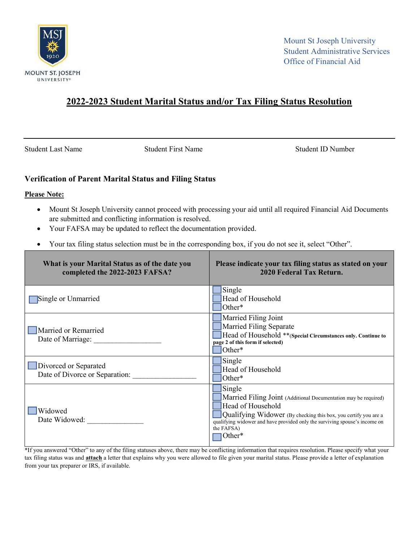

## 2022-2023 Student Marital Status and/or Tax Filing Status Resolution

Student Last Name Student First Name Student ID Number

## Verification of Parent Marital Status and Filing Status

## Please Note:

- Mount St Joseph University cannot proceed with processing your aid until all required Financial Aid Documents are submitted and conflicting information is resolved.
- Your FAFSA may be updated to reflect the documentation provided.
- Your tax filing status selection must be in the corresponding box, if you do not see it, select "Other".

| What is your Marital Status as of the date you<br>completed the 2022-2023 FAFSA? | Please indicate your tax filing status as stated on your<br>2020 Federal Tax Return.                                                                                                                                                                                     |
|----------------------------------------------------------------------------------|--------------------------------------------------------------------------------------------------------------------------------------------------------------------------------------------------------------------------------------------------------------------------|
| Single or Unmarried                                                              | Single<br>Head of Household<br>Other*                                                                                                                                                                                                                                    |
| Married or Remarried<br>Date of Marriage:                                        | Married Filing Joint<br>Married Filing Separate<br>Head of Household ** (Special Circumstances only. Continue to<br>page 2 of this form if selected)<br>Other*                                                                                                           |
| Divorced or Separated<br>Date of Divorce or Separation:                          | Single<br>Head of Household<br>Other*                                                                                                                                                                                                                                    |
| Widowed<br>Date Widowed:                                                         | Single<br>Married Filing Joint (Additional Documentation may be required)<br>Head of Household<br>Qualifying Widower (By checking this box, you certify you are a<br>qualifying widower and have provided only the surviving spouse's income on<br>the FAFSA)<br> Other* |

\*If you answered "Other" to any of the filing statuses above, there may be conflicting information that requires resolution. Please specify what your tax filing status was and **attach** a letter that explains why you were allowed to file given your marital status. Please provide a letter of explanation from your tax preparer or IRS, if available.